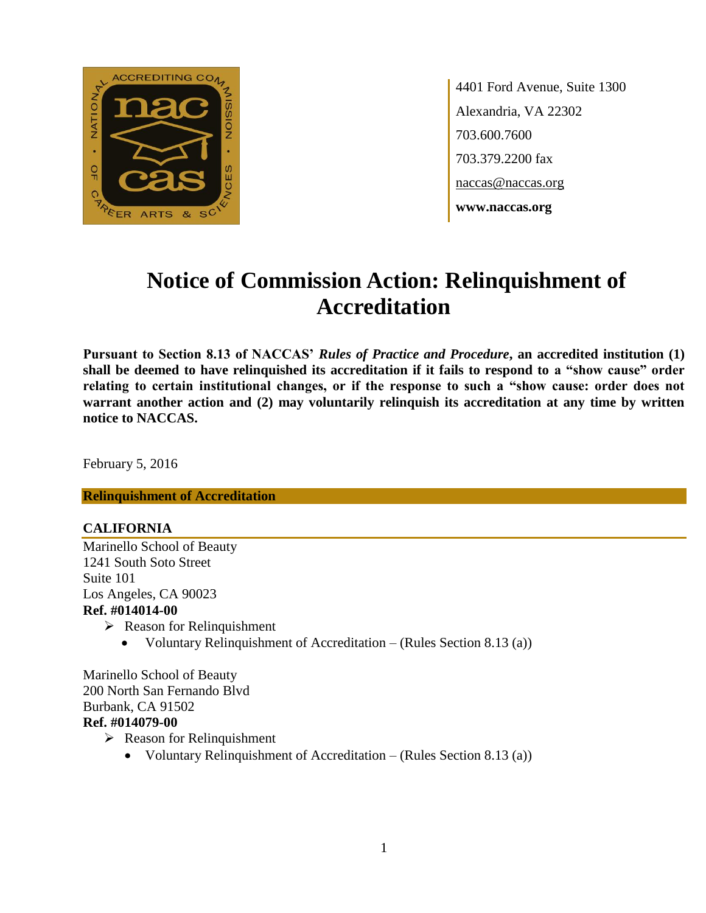

4401 Ford Avenue, Suite 1300 Alexandria, VA 22302 703.600.7600 703.379.2200 fax naccas@naccas.org **www.naccas.org**

# **Notice of Commission Action: Relinquishment of Accreditation**

**Pursuant to Section 8.13 of NACCAS'** *Rules of Practice and Procedure***, an accredited institution (1) shall be deemed to have relinquished its accreditation if it fails to respond to a "show cause" order relating to certain institutional changes, or if the response to such a "show cause: order does not**  warrant another action and (2) may voluntarily relinquish its accreditation at any time by written **notice to NACCAS.**

February 5, 2016

**Relinquishment of Accreditation**

#### **CALIFORNIA**

Marinello School of Beauty 1241 South Soto Street Suite 101 Los Angeles, CA 90023 **Ref. #014014-00** 

- $\triangleright$  Reason for Relinquishment
	- Voluntary Relinquishment of Accreditation (Rules Section 8.13 (a))

Marinello School of Beauty 200 North San Fernando Blvd Burbank, CA 91502 **Ref. #014079-00**

- $\triangleright$  Reason for Relinquishment
	- Voluntary Relinquishment of Accreditation (Rules Section 8.13 (a))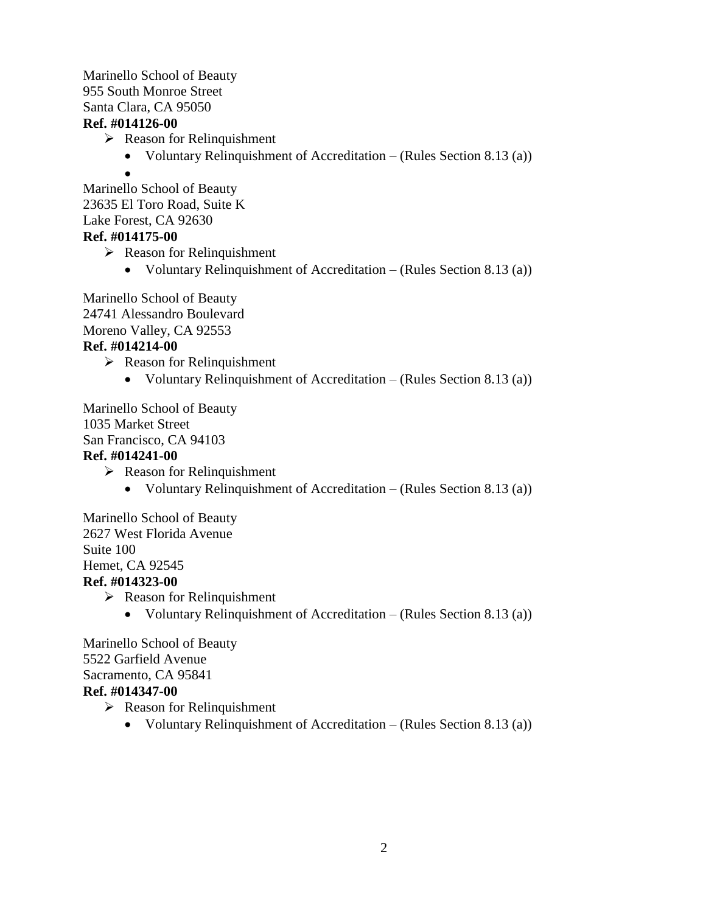#### Marinello School of Beauty 955 South Monroe Street Santa Clara, CA 95050 **Ref. #014126-00**

- $\triangleright$  Reason for Relinquishment
	- Voluntary Relinquishment of Accreditation (Rules Section 8.13 (a))
	- $\bullet$

Marinello School of Beauty 23635 El Toro Road, Suite K Lake Forest, CA 92630

## **Ref. #014175-00**

 $\triangleright$  Reason for Relinquishment

Voluntary Relinquishment of Accreditation – (Rules Section 8.13 (a))

Marinello School of Beauty 24741 Alessandro Boulevard Moreno Valley, CA 92553 **Ref. #014214-00**

 $\triangleright$  Reason for Relinquishment

Voluntary Relinquishment of Accreditation – (Rules Section 8.13 (a))

Marinello School of Beauty

1035 Market Street

San Francisco, CA 94103

#### **Ref. #014241-00**

- $\triangleright$  Reason for Relinquishment
	- Voluntary Relinquishment of Accreditation (Rules Section 8.13 (a))

Marinello School of Beauty 2627 West Florida Avenue Suite 100 Hemet, CA 92545 **Ref. #014323-00**

- $\triangleright$  Reason for Relinquishment
	- Voluntary Relinquishment of Accreditation (Rules Section 8.13 (a))

Marinello School of Beauty 5522 Garfield Avenue Sacramento, CA 95841 **Ref. #014347-00**

- $\triangleright$  Reason for Relinquishment
	- Voluntary Relinquishment of Accreditation (Rules Section 8.13 (a))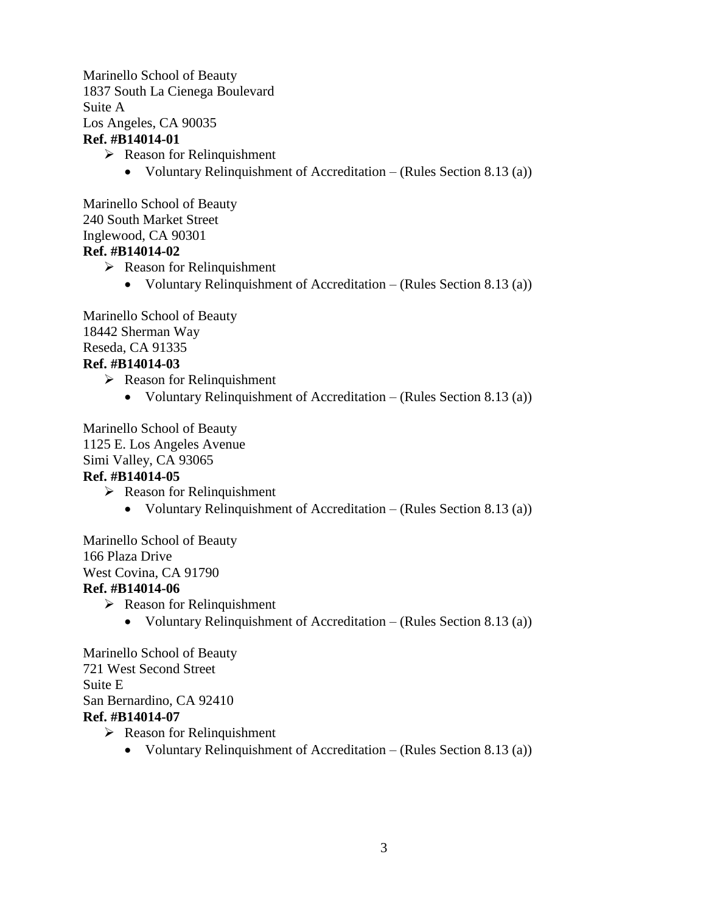Marinello School of Beauty 1837 South La Cienega Boulevard Suite A Los Angeles, CA 90035 **Ref. #B14014-01**

- $\triangleright$  Reason for Relinquishment
	- Voluntary Relinquishment of Accreditation (Rules Section 8.13 (a))

Marinello School of Beauty 240 South Market Street Inglewood, CA 90301 **Ref. #B14014-02**

- $\triangleright$  Reason for Relinquishment
	- Voluntary Relinquishment of Accreditation (Rules Section 8.13 (a))

Marinello School of Beauty 18442 Sherman Way Reseda, CA 91335 **Ref. #B14014-03**

- $\triangleright$  Reason for Relinquishment
	- Voluntary Relinquishment of Accreditation (Rules Section 8.13 (a))

Marinello School of Beauty 1125 E. Los Angeles Avenue Simi Valley, CA 93065 **Ref. #B14014-05**

- $\triangleright$  Reason for Relinquishment
	- Voluntary Relinquishment of Accreditation (Rules Section 8.13 (a))

Marinello School of Beauty 166 Plaza Drive

West Covina, CA 91790

#### **Ref. #B14014-06**

- $\triangleright$  Reason for Relinquishment
	- Voluntary Relinquishment of Accreditation (Rules Section 8.13 (a))

Marinello School of Beauty 721 West Second Street Suite E San Bernardino, CA 92410 **Ref. #B14014-07**

- $\triangleright$  Reason for Relinquishment
	- Voluntary Relinquishment of Accreditation (Rules Section 8.13 (a))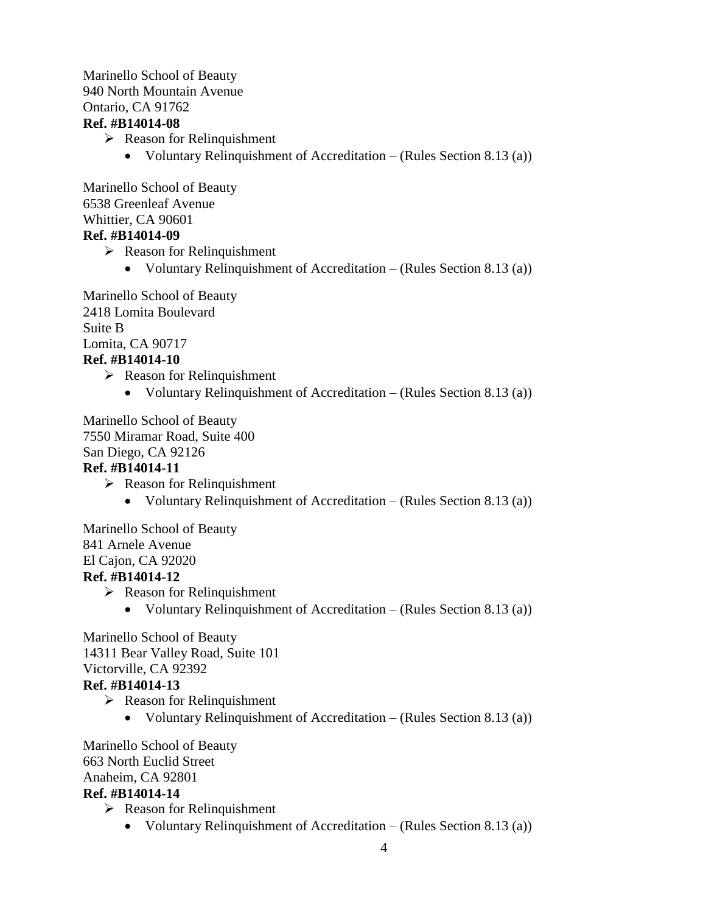#### Marinello School of Beauty 940 North Mountain Avenue Ontario, CA 91762 **Ref. #B14014-08**

- $\triangleright$  Reason for Relinquishment
	- Voluntary Relinquishment of Accreditation (Rules Section 8.13 (a))

Marinello School of Beauty 6538 Greenleaf Avenue Whittier, CA 90601

# **Ref. #B14014-09**

- $\triangleright$  Reason for Relinquishment
	- Voluntary Relinquishment of Accreditation (Rules Section 8.13 (a))

Marinello School of Beauty 2418 Lomita Boulevard Suite B Lomita, CA 90717

# **Ref. #B14014-10**

- $\triangleright$  Reason for Relinquishment
	- Voluntary Relinquishment of Accreditation (Rules Section 8.13 (a))

Marinello School of Beauty 7550 Miramar Road, Suite 400 San Diego, CA 92126

# **Ref. #B14014-11**

- $\triangleright$  Reason for Relinquishment
	- Voluntary Relinquishment of Accreditation (Rules Section 8.13 (a))

Marinello School of Beauty 841 Arnele Avenue El Cajon, CA 92020 **Ref. #B14014-12**

# $\triangleright$  Reason for Relinquishment

• Voluntary Relinquishment of Accreditation – (Rules Section 8.13 (a))

Marinello School of Beauty 14311 Bear Valley Road, Suite 101 Victorville, CA 92392

# **Ref. #B14014-13**

- $\triangleright$  Reason for Relinquishment
	- Voluntary Relinquishment of Accreditation (Rules Section 8.13 (a))

Marinello School of Beauty 663 North Euclid Street Anaheim, CA 92801 **Ref. #B14014-14**

- $\triangleright$  Reason for Relinquishment
	- Voluntary Relinquishment of Accreditation (Rules Section 8.13 (a))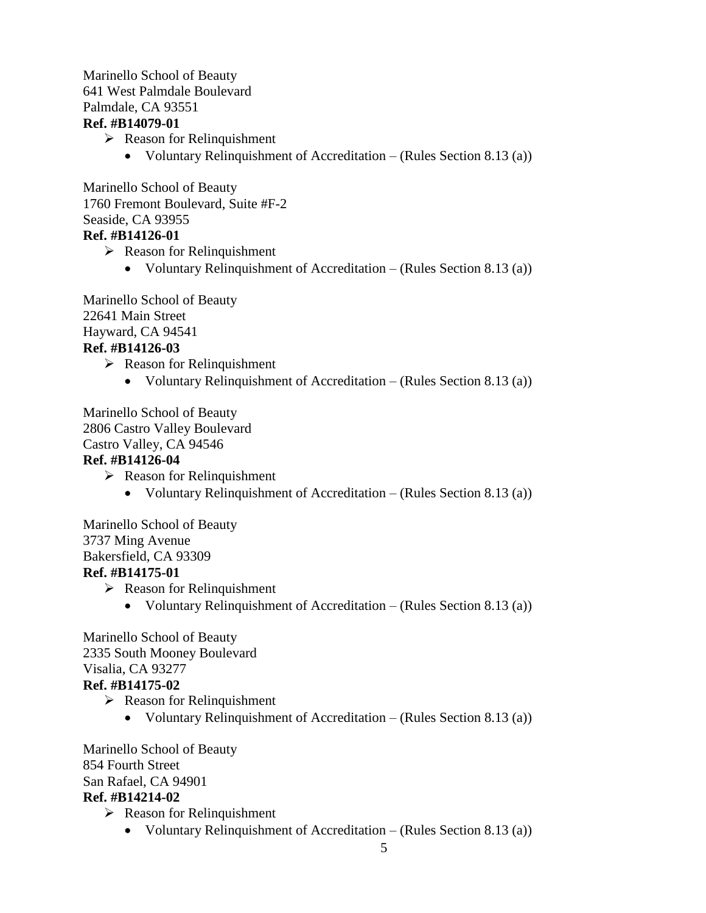#### Marinello School of Beauty 641 West Palmdale Boulevard Palmdale, CA 93551 **Ref. #B14079-01**

- $\triangleright$  Reason for Relinquishment
	- Voluntary Relinquishment of Accreditation (Rules Section 8.13 (a))

Marinello School of Beauty 1760 Fremont Boulevard, Suite #F-2 Seaside, CA 93955 **Ref. #B14126-01**

- $\triangleright$  Reason for Relinquishment
	- Voluntary Relinquishment of Accreditation (Rules Section 8.13 (a))

Marinello School of Beauty 22641 Main Street Hayward, CA 94541 **Ref. #B14126-03**

 $\triangleright$  Reason for Relinquishment

• Voluntary Relinquishment of Accreditation – (Rules Section 8.13 (a))

Marinello School of Beauty 2806 Castro Valley Boulevard Castro Valley, CA 94546 **Ref. #B14126-04**

- $\triangleright$  Reason for Relinquishment
	- Voluntary Relinquishment of Accreditation (Rules Section 8.13 (a))

Marinello School of Beauty 3737 Ming Avenue Bakersfield, CA 93309

### **Ref. #B14175-01**

- $\triangleright$  Reason for Relinquishment
	- Voluntary Relinquishment of Accreditation (Rules Section 8.13 (a))

Marinello School of Beauty 2335 South Mooney Boulevard Visalia, CA 93277

# **Ref. #B14175-02**

- $\triangleright$  Reason for Relinquishment
	- Voluntary Relinquishment of Accreditation (Rules Section 8.13 (a))

Marinello School of Beauty 854 Fourth Street San Rafael, CA 94901 **Ref. #B14214-02**

- $\triangleright$  Reason for Relinquishment
	- Voluntary Relinquishment of Accreditation (Rules Section 8.13 (a))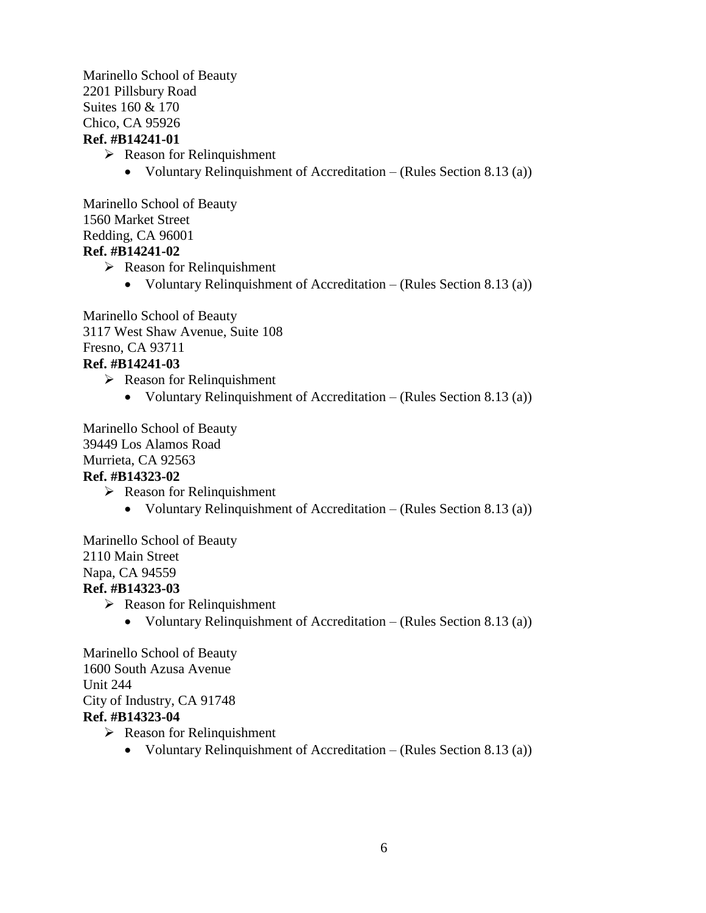Marinello School of Beauty 2201 Pillsbury Road Suites 160 & 170 Chico, CA 95926 **Ref. #B14241-01**

- $\triangleright$  Reason for Relinquishment
	- Voluntary Relinquishment of Accreditation (Rules Section 8.13 (a))

Marinello School of Beauty 1560 Market Street Redding, CA 96001 **Ref. #B14241-02**

- $\triangleright$  Reason for Relinquishment
	- Voluntary Relinquishment of Accreditation (Rules Section 8.13 (a))

Marinello School of Beauty 3117 West Shaw Avenue, Suite 108 Fresno, CA 93711 **Ref. #B14241-03**

- $\triangleright$  Reason for Relinquishment
	- Voluntary Relinquishment of Accreditation (Rules Section 8.13 (a))

Marinello School of Beauty 39449 Los Alamos Road Murrieta, CA 92563 **Ref. #B14323-02**

- $\triangleright$  Reason for Relinquishment
	- Voluntary Relinquishment of Accreditation (Rules Section 8.13 (a))

Marinello School of Beauty 2110 Main Street Napa, CA 94559

# **Ref. #B14323-03**

- $\triangleright$  Reason for Relinquishment
	- Voluntary Relinquishment of Accreditation (Rules Section 8.13 (a))

Marinello School of Beauty 1600 South Azusa Avenue Unit 244 City of Industry, CA 91748 **Ref. #B14323-04**

- $\triangleright$  Reason for Relinquishment
	- Voluntary Relinquishment of Accreditation (Rules Section 8.13 (a))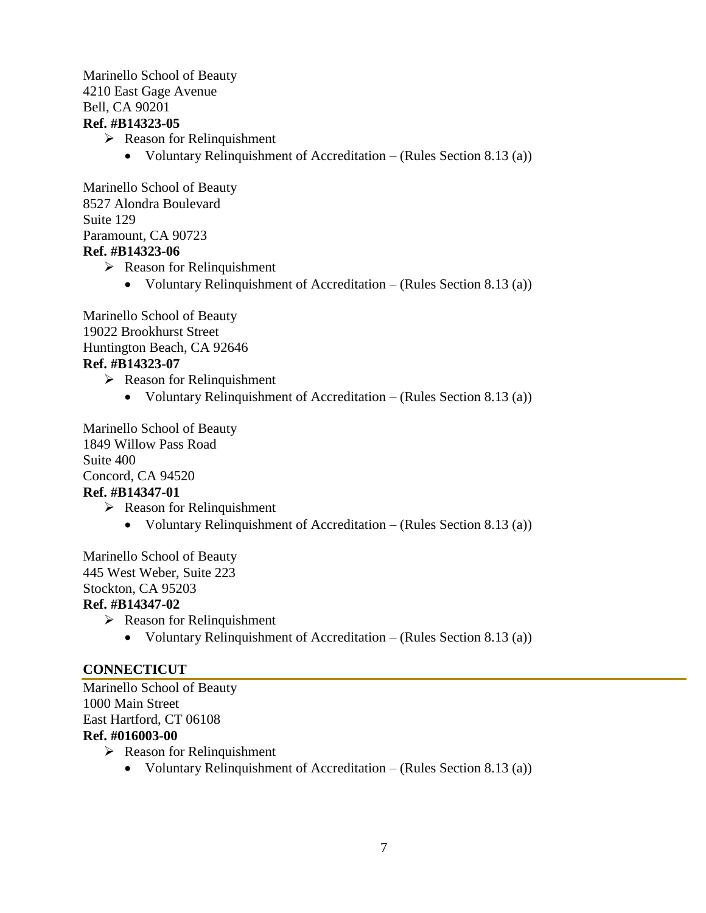#### Marinello School of Beauty 4210 East Gage Avenue Bell, CA 90201 **Ref. #B14323-05**

- $\triangleright$  Reason for Relinquishment
	- Voluntary Relinquishment of Accreditation (Rules Section 8.13 (a))

Marinello School of Beauty 8527 Alondra Boulevard Suite 129 Paramount, CA 90723 **Ref. #B14323-06**

- $\triangleright$  Reason for Relinquishment
	- Voluntary Relinquishment of Accreditation (Rules Section 8.13 (a))

Marinello School of Beauty 19022 Brookhurst Street Huntington Beach, CA 92646 **Ref. #B14323-07**

- $\triangleright$  Reason for Relinquishment
	- Voluntary Relinquishment of Accreditation (Rules Section 8.13 (a))

Marinello School of Beauty 1849 Willow Pass Road Suite 400 Concord, CA 94520 **Ref. #B14347-01** 

- $\triangleright$  Reason for Relinquishment
	- Voluntary Relinquishment of Accreditation (Rules Section 8.13 (a))

Marinello School of Beauty 445 West Weber, Suite 223 Stockton, CA 95203

#### **Ref. #B14347-02**

- $\triangleright$  Reason for Relinquishment
	- Voluntary Relinquishment of Accreditation (Rules Section 8.13 (a))

### **CONNECTICUT**

Marinello School of Beauty 1000 Main Street East Hartford, CT 06108 **Ref. #016003-00**

- $\triangleright$  Reason for Relinquishment
	- Voluntary Relinquishment of Accreditation (Rules Section 8.13 (a))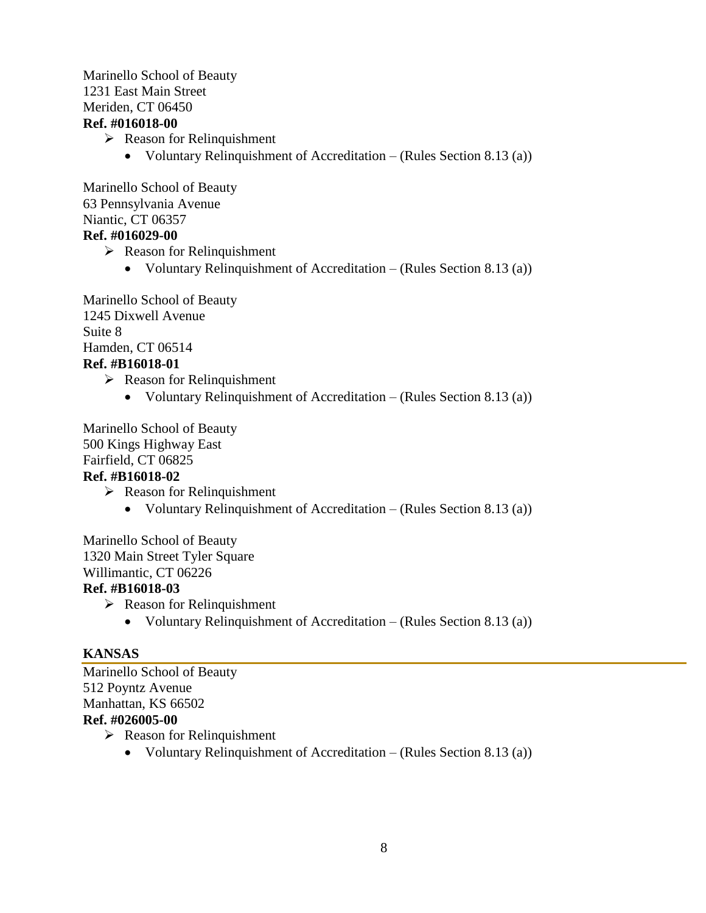#### Marinello School of Beauty 1231 East Main Street Meriden, CT 06450 **Ref. #016018-00**

- $\triangleright$  Reason for Relinquishment
	- Voluntary Relinquishment of Accreditation (Rules Section 8.13 (a))

Marinello School of Beauty 63 Pennsylvania Avenue Niantic, CT 06357 **Ref. #016029-00**

- $\triangleright$  Reason for Relinquishment
	- Voluntary Relinquishment of Accreditation (Rules Section 8.13 (a))

Marinello School of Beauty 1245 Dixwell Avenue Suite 8 Hamden, CT 06514 **Ref. #B16018-01** 

- $\triangleright$  Reason for Relinquishment
	- Voluntary Relinquishment of Accreditation (Rules Section 8.13 (a))

Marinello School of Beauty 500 Kings Highway East Fairfield, CT 06825 **Ref. #B16018-02** 

- $\triangleright$  Reason for Relinquishment
	- Voluntary Relinquishment of Accreditation (Rules Section 8.13 (a))

Marinello School of Beauty 1320 Main Street Tyler Square Willimantic, CT 06226

#### **Ref. #B16018-03**

- $\triangleright$  Reason for Relinquishment
	- Voluntary Relinquishment of Accreditation (Rules Section 8.13 (a))

#### **KANSAS**

Marinello School of Beauty 512 Poyntz Avenue Manhattan, KS 66502 **Ref. #026005-00**  $\triangleright$  Reason for Relinquishment

Voluntary Relinquishment of Accreditation – (Rules Section 8.13 (a))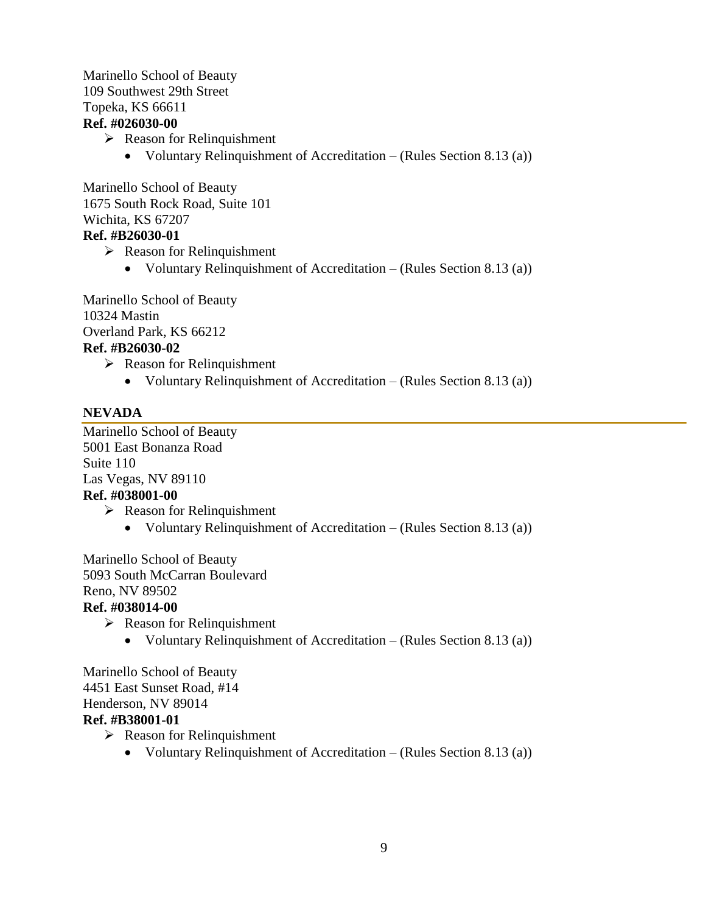#### Marinello School of Beauty 109 Southwest 29th Street Topeka, KS 66611 **Ref. #026030-00**

- $\triangleright$  Reason for Relinquishment
	- Voluntary Relinquishment of Accreditation (Rules Section 8.13 (a))

Marinello School of Beauty 1675 South Rock Road, Suite 101 Wichita, KS 67207 **Ref. #B26030-01** 

- $\triangleright$  Reason for Relinquishment
	- Voluntary Relinquishment of Accreditation (Rules Section 8.13 (a))

Marinello School of Beauty 10324 Mastin Overland Park, KS 66212 **Ref. #B26030-02** 

 $\triangleright$  Reason for Relinquishment

• Voluntary Relinquishment of Accreditation – (Rules Section 8.13 (a))

### **NEVADA**

Marinello School of Beauty 5001 East Bonanza Road Suite 110 Las Vegas, NV 89110 **Ref. #038001-00**

- $\triangleright$  Reason for Relinquishment
	- Voluntary Relinquishment of Accreditation (Rules Section 8.13 (a))

Marinello School of Beauty 5093 South McCarran Boulevard Reno, NV 89502

#### **Ref. #038014-00**

- $\triangleright$  Reason for Relinquishment
	- Voluntary Relinquishment of Accreditation (Rules Section 8.13 (a))

Marinello School of Beauty 4451 East Sunset Road, #14 Henderson, NV 89014 **Ref. #B38001-01** 

- $\triangleright$  Reason for Relinquishment
	- Voluntary Relinquishment of Accreditation (Rules Section 8.13 (a))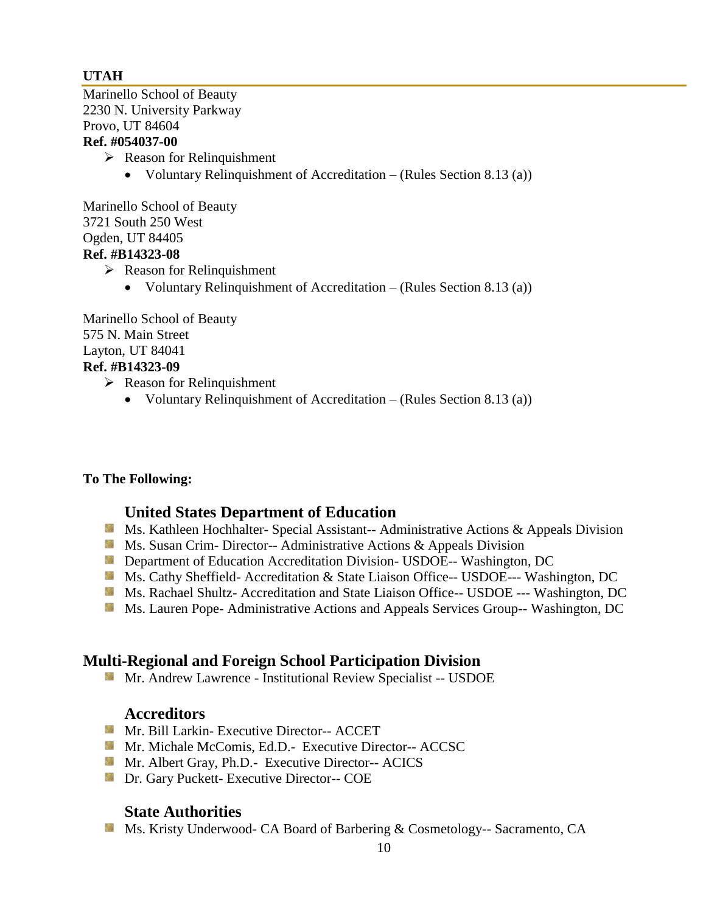# **UTAH**

Marinello School of Beauty 2230 N. University Parkway Provo, UT 84604 **Ref. #054037-00**

### $\triangleright$  Reason for Relinquishment

• Voluntary Relinquishment of Accreditation – (Rules Section 8.13 (a))

Marinello School of Beauty 3721 South 250 West Ogden, UT 84405

# **Ref. #B14323-08**

- $\triangleright$  Reason for Relinquishment
	- Voluntary Relinquishment of Accreditation (Rules Section 8.13 (a))

Marinello School of Beauty 575 N. Main Street Layton, UT 84041 **Ref. #B14323-09** 

- $\triangleright$  Reason for Relinquishment
	- Voluntary Relinquishment of Accreditation (Rules Section 8.13 (a))

### **To The Following:**

# **United States Department of Education**

- Ms. Kathleen Hochhalter- Special Assistant-- Administrative Actions & Appeals Division
- **MS.** Susan Crim-Director-- Administrative Actions & Appeals Division
- **Department of Education Accreditation Division- USDOE-- Washington, DC**
- Ms. Cathy Sheffield- Accreditation & State Liaison Office-- USDOE--- Washington, DC
- Ms. Rachael Shultz- Accreditation and State Liaison Office-- USDOE --- Washington, DC
- **Ms. Lauren Pope- Administrative Actions and Appeals Services Group-- Washington, DC**

# **Multi-Regional and Foreign School Participation Division**

Mr. Andrew Lawrence - Institutional Review Specialist -- USDOE

### **Accreditors**

- **Mr. Bill Larkin- Executive Director-- ACCET**
- **Mr. Michale McComis, Ed.D.- Executive Director-- ACCSC**
- **Mr.** Albert Gray, Ph.D.- Executive Director-- ACICS
- **Dr.** Gary Puckett- Executive Director-- COE

# **State Authorities**

Ms. Kristy Underwood- CA Board of Barbering & Cosmetology-- Sacramento, CA